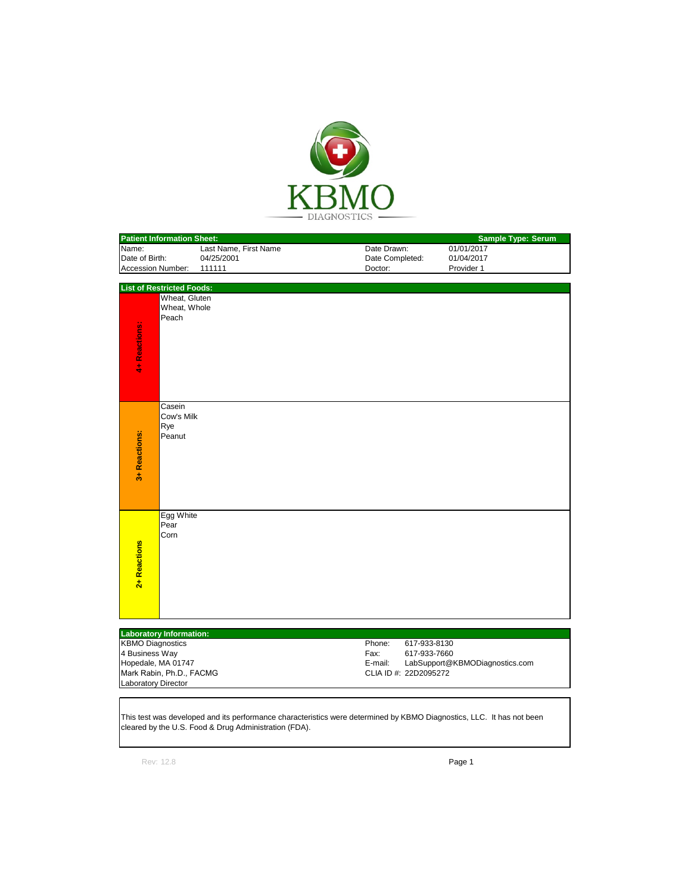

| <b>Patient Information Sheet:</b> |                       |                 | <b>Sample Type: Serum</b> |  |
|-----------------------------------|-----------------------|-----------------|---------------------------|--|
| Name:                             | Last Name, First Name | Date Drawn:     | 01/01/2017                |  |
| <b>IDate of Birth:</b>            | 04/25/2001            | Date Completed: | 01/04/2017                |  |
| <b>Accession Number:</b>          | 111111                | Doctor:         | Provider 1                |  |

|               | <b>List of Restricted Foods:</b> |
|---------------|----------------------------------|
|               | Wheat, Gluten                    |
|               | Wheat, Whole                     |
|               | Peach                            |
|               |                                  |
|               |                                  |
| 4+ Reactions: |                                  |
|               |                                  |
|               |                                  |
|               | Casein                           |
|               | Cow's Milk<br>Rye                |
|               | Peanut                           |
|               |                                  |
|               |                                  |
| 3+ Reactions: |                                  |
|               |                                  |
|               |                                  |
|               |                                  |
|               | Egg White                        |
|               | Pear<br>Corn                     |
|               |                                  |
|               |                                  |
|               |                                  |
| 2+ Reactions  |                                  |
|               |                                  |
|               |                                  |
|               |                                  |

| <b>Laboratory Information:</b> |         |                                |
|--------------------------------|---------|--------------------------------|
| <b>KBMO Diagnostics</b>        | Phone:  | 617-933-8130                   |
| 4 Business Way                 | Fax:    | 617-933-7660                   |
| Hopedale, MA 01747             | E-mail: | LabSupport@KBMODiagnostics.com |
| Mark Rabin, Ph.D., FACMG       |         | CLIA ID #: 22D2095272          |
| Laboratory Director            |         |                                |

This test was developed and its performance characteristics were determined by KBMO Diagnostics, LLC. It has not been cleared by the U.S. Food & Drug Administration (FDA).

Rev: 12.8 **Page 1**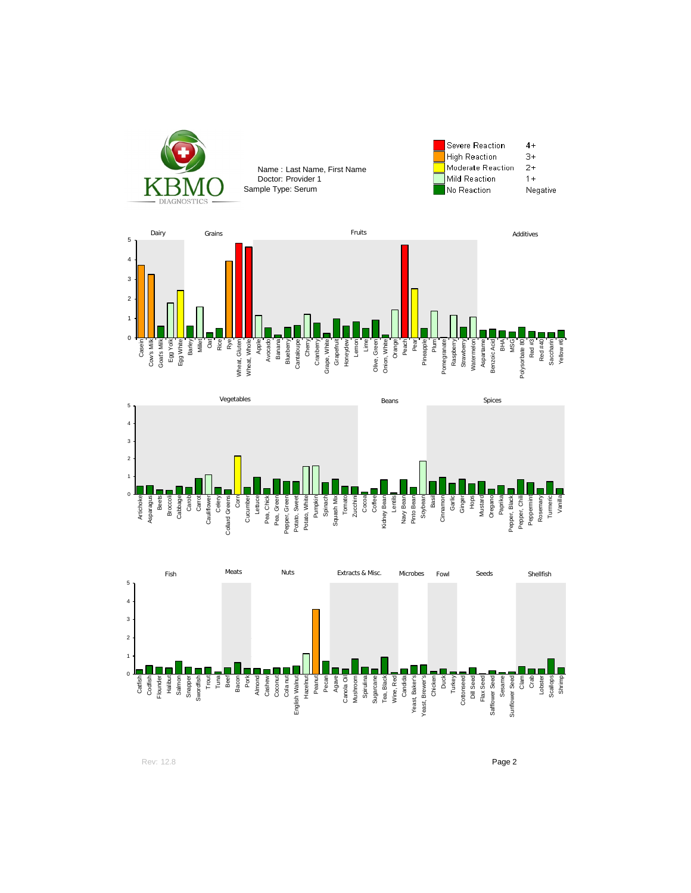





Rev: 12.8 **Page 2**